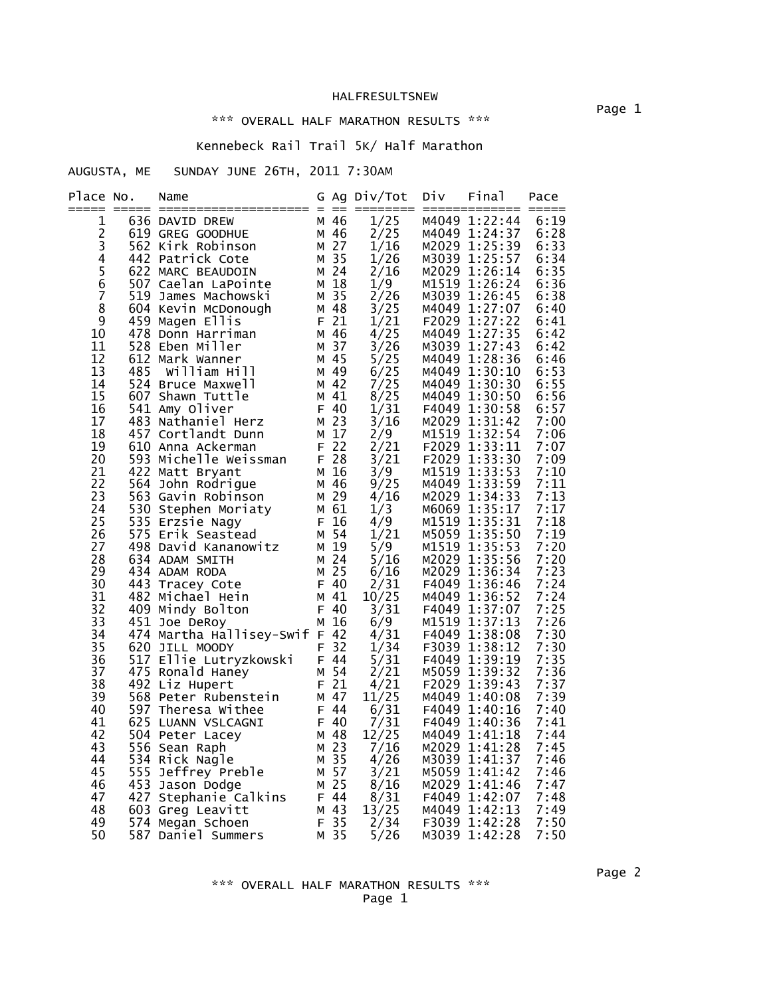#### \*\*\* OVERALL HALF MARATHON RESULTS \*\*\*

# Kennebeck Rail Trail 5K/ Half Marathon

AUGUSTA, ME SUNDAY JUNE 26TH, 2011 7:30AM

| Place No.      | Name                                                                                                                                                                                                                                     |      | G Ag Div/Tot                                                                                                                                                                 | Div Final                                         | Pace         |
|----------------|------------------------------------------------------------------------------------------------------------------------------------------------------------------------------------------------------------------------------------------|------|------------------------------------------------------------------------------------------------------------------------------------------------------------------------------|---------------------------------------------------|--------------|
| 1              |                                                                                                                                                                                                                                          |      | 1/25                                                                                                                                                                         | M4049 1:22:44                                     | 6:19         |
| $\overline{c}$ |                                                                                                                                                                                                                                          |      | 2/25                                                                                                                                                                         | M4049 1:24:37                                     | 6:28         |
| 3              |                                                                                                                                                                                                                                          |      | 1/16                                                                                                                                                                         | M2029 1:25:39                                     | 6:33         |
| $\overline{4}$ |                                                                                                                                                                                                                                          |      | 1/26                                                                                                                                                                         | M3039 1:25:57                                     | 6:34         |
| $\frac{5}{6}$  |                                                                                                                                                                                                                                          |      | 2/16                                                                                                                                                                         | M2029 1:26:14                                     | 6:35         |
|                |                                                                                                                                                                                                                                          |      | 1/9                                                                                                                                                                          | M1519 1:26:24                                     | 6:36         |
| 7              |                                                                                                                                                                                                                                          |      | $\frac{2}{2}$ /26<br>3/25                                                                                                                                                    | M3039 1:26:45                                     | 6:38         |
| 8<br>9         |                                                                                                                                                                                                                                          |      |                                                                                                                                                                              | M4049 1:27:07                                     | 6:40         |
| 10             |                                                                                                                                                                                                                                          |      |                                                                                                                                                                              |                                                   | 6:41         |
| 11             |                                                                                                                                                                                                                                          |      |                                                                                                                                                                              | $1/21$ F2029 1:27:22<br>4/25 M4049 1:27:35        | 6:42<br>6:42 |
| 12             |                                                                                                                                                                                                                                          |      | $3/26$ M3039 1:27:45<br>5/25 M4049 1:28:36<br>6/25 M4049 1:30:10<br>1010 1:30:30                                                                                             |                                                   | 6:46         |
| 13             |                                                                                                                                                                                                                                          |      |                                                                                                                                                                              |                                                   | 6:53         |
| 14             |                                                                                                                                                                                                                                          |      | 7/25                                                                                                                                                                         |                                                   | 6:55         |
| 15             |                                                                                                                                                                                                                                          |      |                                                                                                                                                                              |                                                   | 6:56         |
| 16             |                                                                                                                                                                                                                                          |      |                                                                                                                                                                              |                                                   | 6:57         |
| 17             |                                                                                                                                                                                                                                          |      |                                                                                                                                                                              | 1/31 F4049 1:30:58<br>3/16 M2029 1:31:42          | 7:00         |
| 18             |                                                                                                                                                                                                                                          |      |                                                                                                                                                                              |                                                   | 7:06         |
| 19             |                                                                                                                                                                                                                                          |      | 2/21                                                                                                                                                                         |                                                   | 7:07         |
| 20             |                                                                                                                                                                                                                                          |      |                                                                                                                                                                              | $2/9$<br>2/21 F2029 1:33:11<br>2/21 F2029 1:33:30 | 7:09         |
| 21             |                                                                                                                                                                                                                                          |      |                                                                                                                                                                              | M1519 1:33:53                                     | 7:10         |
| 22             |                                                                                                                                                                                                                                          |      | $\frac{3}{9}$<br>9/25                                                                                                                                                        | M4049 1:33:59                                     | 7:11         |
| 23             |                                                                                                                                                                                                                                          |      |                                                                                                                                                                              | M2029 1:34:33                                     | 7:13         |
| 24             |                                                                                                                                                                                                                                          |      | $\frac{4/16}{1/3}$                                                                                                                                                           | M6069 1:35:17                                     | 7:17         |
| 25             |                                                                                                                                                                                                                                          |      | $\frac{4/9}{1/21}$                                                                                                                                                           | M1519 1:35:31                                     | 7:18         |
| 26             |                                                                                                                                                                                                                                          |      |                                                                                                                                                                              | M5059 1:35:50                                     | 7:19         |
| 27             |                                                                                                                                                                                                                                          |      | $5/9$<br>$5/16$<br>$6/16$                                                                                                                                                    | M1519 1:35:53                                     | 7:20         |
| 28             |                                                                                                                                                                                                                                          |      | 5/16                                                                                                                                                                         | M2029 1:35:56                                     | 7:20         |
| 29             |                                                                                                                                                                                                                                          |      |                                                                                                                                                                              | M2029 1:36:34                                     | 7:23         |
| 30             |                                                                                                                                                                                                                                          |      |                                                                                                                                                                              | 2/31 F4049 1:36:46<br>10/25 M4049 1:36:52         | 7:24         |
| 31             |                                                                                                                                                                                                                                          |      |                                                                                                                                                                              |                                                   | 7:24         |
| 32             |                                                                                                                                                                                                                                          |      |                                                                                                                                                                              |                                                   | 7:25<br>7:26 |
| 33<br>34       | 451 Joe DeRoy                                                                                                                                                                                                                            | M 16 |                                                                                                                                                                              |                                                   | 7:30         |
| 35             | 474 Martha Hallisey-Swif F 42                                                                                                                                                                                                            |      |                                                                                                                                                                              |                                                   | 7:30         |
| 36             |                                                                                                                                                                                                                                          |      |                                                                                                                                                                              |                                                   | 7:35         |
| 37             |                                                                                                                                                                                                                                          |      | 3/31 F4049 1:37:07<br>6/9 M1519 1:37:13<br>4/31 F4049 1:38:08<br>1/34 F3039 1:38:12<br>5/31 F4049 1:39:19<br>2/21 M5059 1:39:32<br>4/21 F2029 1:39:43<br>11/15 M4049 1:40:08 |                                                   | 7:36         |
| 38             |                                                                                                                                                                                                                                          |      |                                                                                                                                                                              |                                                   | 7:37         |
| 39             |                                                                                                                                                                                                                                          |      |                                                                                                                                                                              |                                                   | 7:39         |
| 40             |                                                                                                                                                                                                                                          |      |                                                                                                                                                                              |                                                   | 7:40         |
| 41             |                                                                                                                                                                                                                                          |      |                                                                                                                                                                              |                                                   | 7:41         |
| 42             |                                                                                                                                                                                                                                          |      |                                                                                                                                                                              |                                                   | 7:44         |
| 43             |                                                                                                                                                                                                                                          |      |                                                                                                                                                                              |                                                   | 7:45         |
| 44             |                                                                                                                                                                                                                                          |      |                                                                                                                                                                              |                                                   | 7:46         |
| 45             |                                                                                                                                                                                                                                          |      |                                                                                                                                                                              |                                                   | 7:46         |
| 46             | 474 Martha Hallisey-Swif F 42 4/31 F4049 1:38:08<br>620 JILL MOODY F 32 1/34 F3039 1:38:12<br>517 Ellie Lutryzkowski F 44 5/31 F4049 1:39:19<br>475 Romald Haney M 54 2/21 M5059 1:39:32<br>492 Liz Hupert F 21 4/21 F2029 1:39:32<br>49 |      |                                                                                                                                                                              |                                                   | 7:47         |
| 47             |                                                                                                                                                                                                                                          |      |                                                                                                                                                                              |                                                   | 7:48         |
| 48             |                                                                                                                                                                                                                                          |      |                                                                                                                                                                              |                                                   | 7:49         |
| 49             |                                                                                                                                                                                                                                          |      |                                                                                                                                                                              |                                                   | 7:50         |
| 50             |                                                                                                                                                                                                                                          |      |                                                                                                                                                                              |                                                   | 7:50         |

#### \*\*\* OVERALL HALF MARATHON RESULTS \*\*\* Page 1

Page 2 - Page 2 - Page 2 - Page 2 - Page 2 - Page 2 - Page 2 - Page 2 - Page 2 - Page 2 - Page 2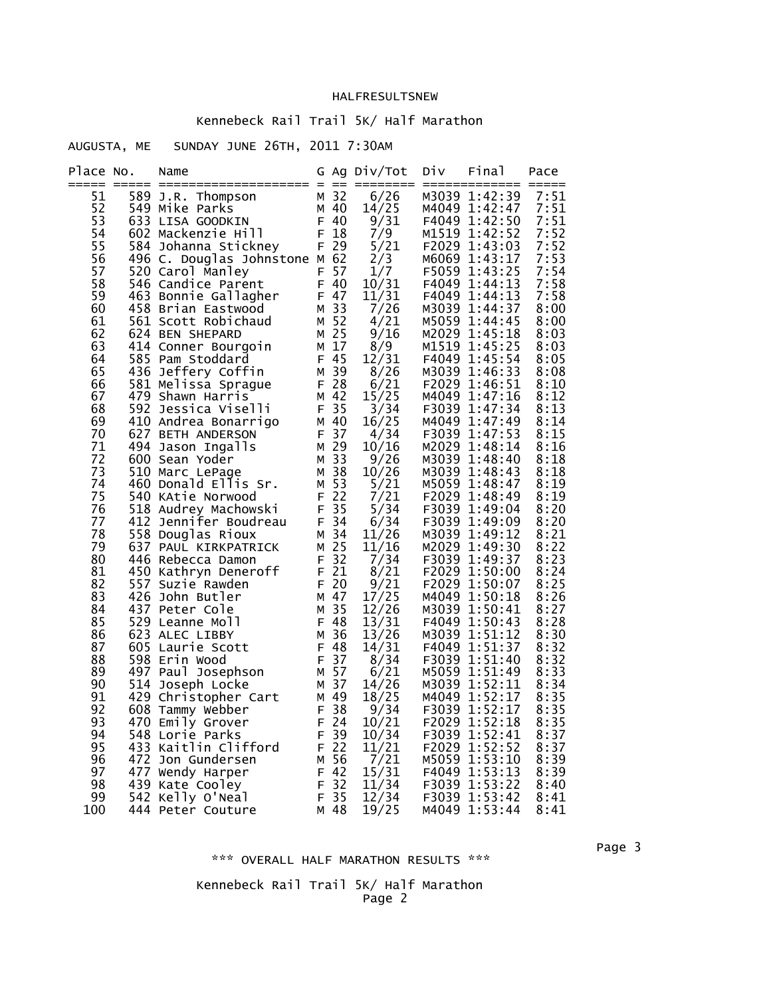# Kennebeck Rail Trail 5K/ Half Marathon

# AUGUSTA, ME SUNDAY JUNE 26TH, 2011 7:30AM

| Place No.      | Name                                                                                                                                                                                                                                              |              | G Ag Div/Tot Div Final |                                | Pace         |
|----------------|---------------------------------------------------------------------------------------------------------------------------------------------------------------------------------------------------------------------------------------------------|--------------|------------------------|--------------------------------|--------------|
| 51<br>52<br>53 | $589$ J.R. Thompson $M$ 32<br>$549$ Mike Parks $M$ 40<br>$549$ Mike Parks $M$ 40<br>$549$ Mike Parks $M$ 40<br>$549$ Mike Parks $M$ 40<br>$549$ Mike Parks $M$ 40<br>$549$ Misersity<br>$549$ Misersity<br>$549$ Misersity<br>$549$ Misersity<br> |              |                        |                                |              |
| 54<br>55       | 022 una-Reason and He and He and He and He and He and He and He and He and He and He and He and He and He and He and He and He and He and He and He and He and He and He and He and He and He and He and He and He and He and                     |              |                        |                                |              |
| 56             |                                                                                                                                                                                                                                                   |              |                        |                                |              |
| 57<br>58       |                                                                                                                                                                                                                                                   |              |                        |                                |              |
| 59             |                                                                                                                                                                                                                                                   |              |                        |                                |              |
| 60<br>61       |                                                                                                                                                                                                                                                   |              |                        |                                |              |
| 62             |                                                                                                                                                                                                                                                   |              |                        |                                |              |
| 63             |                                                                                                                                                                                                                                                   |              |                        |                                |              |
| 64<br>65       |                                                                                                                                                                                                                                                   |              |                        |                                |              |
| 66             |                                                                                                                                                                                                                                                   |              |                        |                                |              |
| 67<br>68       |                                                                                                                                                                                                                                                   |              |                        |                                |              |
| 69             |                                                                                                                                                                                                                                                   |              |                        |                                |              |
| 70<br>71       |                                                                                                                                                                                                                                                   |              |                        |                                |              |
| 72             |                                                                                                                                                                                                                                                   |              |                        |                                |              |
| 73             |                                                                                                                                                                                                                                                   |              |                        |                                |              |
| 74<br>75       |                                                                                                                                                                                                                                                   |              |                        |                                |              |
| 76             |                                                                                                                                                                                                                                                   |              |                        |                                |              |
| 77<br>78       |                                                                                                                                                                                                                                                   |              |                        |                                |              |
| 79             |                                                                                                                                                                                                                                                   |              |                        |                                |              |
| 80             |                                                                                                                                                                                                                                                   |              |                        |                                |              |
| 81<br>82       |                                                                                                                                                                                                                                                   |              |                        |                                |              |
| 83             |                                                                                                                                                                                                                                                   |              |                        |                                |              |
| 84<br>85       |                                                                                                                                                                                                                                                   |              |                        |                                |              |
| 86             |                                                                                                                                                                                                                                                   |              |                        |                                |              |
| 87<br>88       |                                                                                                                                                                                                                                                   |              |                        |                                |              |
| 89             |                                                                                                                                                                                                                                                   |              |                        |                                |              |
| 90             |                                                                                                                                                                                                                                                   |              |                        |                                |              |
| 91<br>92       |                                                                                                                                                                                                                                                   |              |                        |                                |              |
| 93             | 470 Emily Grover F 24 10/21 F2029 1:52:18 8:35                                                                                                                                                                                                    |              |                        |                                |              |
| 94<br>95       | 548 Lorie Parks<br>433 Kaitlin Clifford                                                                                                                                                                                                           | F 39<br>F 22 | 10/34<br>11/21         | F3039 1:52:41<br>F2029 1:52:52 | 8:37<br>8:37 |
| 96             | 472 Jon Gundersen                                                                                                                                                                                                                                 | M 56         | 7/21                   | M5059 1:53:10                  | 8:39         |
| 97             | 477 Wendy Harper                                                                                                                                                                                                                                  | F 42<br>F 32 | 15/31                  | F4049 1:53:13<br>F3039 1:53:22 | 8:39         |
| 98<br>99       | 439 Kate Cooley<br>542 Kelly O'Neal                                                                                                                                                                                                               | F 35         | 11/34<br>12/34         | F3039 1:53:42                  | 8:40<br>8:41 |
| 100            | 444 Peter Couture                                                                                                                                                                                                                                 | M 48         | 19/25                  | M4049 1:53:44                  | 8:41         |

#### \*\*\* OVERALL HALF MARATHON RESULTS \*\*\*

### Kennebeck Rail Trail 5K/ Half Marathon Page 2

Page 3 - Page 3 - Page 3 - Page 3 - Page 3 - Page 3 - Page 3 - Page 3 - Page 3 - Page 3 - Page 3 - Page 3 - Page 3 - Page 3 - Page 3 - Page 3 - Page 3 - Page 3 - Page 3 - Page 3 - Page 3 - Page 3 - Page 3 - Page 3 - Page 3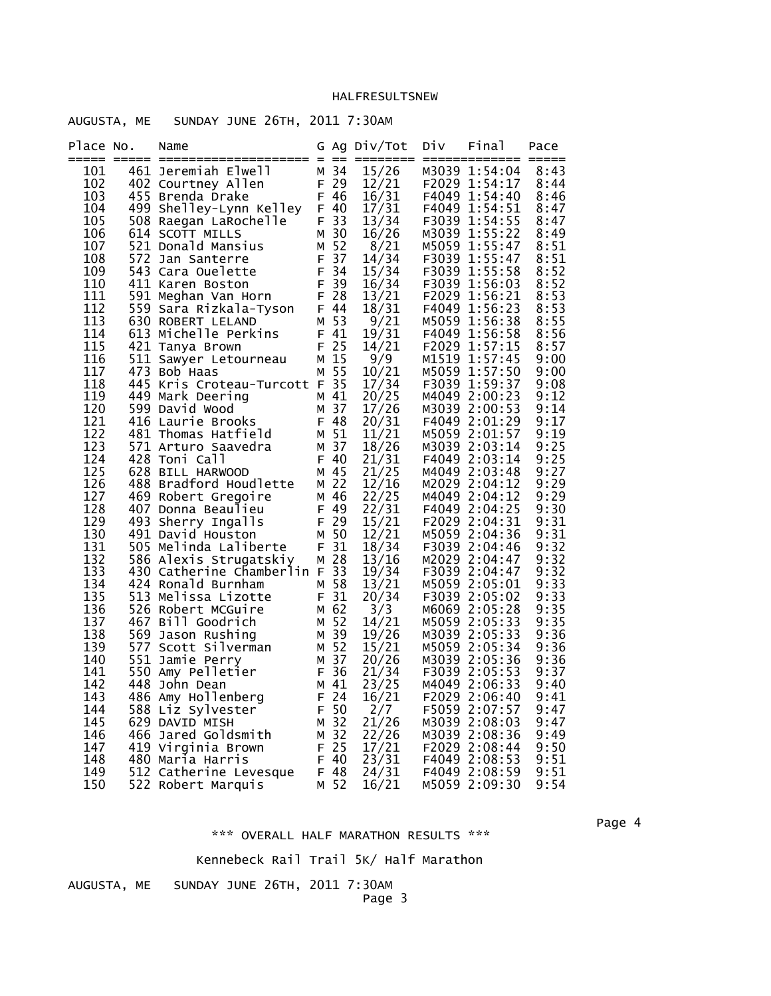| AUGUSTA, ME SUNDAY JUNE 26TH, 2011 7:30AM |  |  |  |
|-------------------------------------------|--|--|--|

| Place No.  | Name                                                                                                                                                                                                                                                                            |      | G Ag Div/Tot   | Div | Final                                                            | Pace         |
|------------|---------------------------------------------------------------------------------------------------------------------------------------------------------------------------------------------------------------------------------------------------------------------------------|------|----------------|-----|------------------------------------------------------------------|--------------|
| 101        | 461 Jeremiah Elwell M 34                                                                                                                                                                                                                                                        |      | 15/26          |     | M3039 1:54:04                                                    | 8:43         |
| 102        | $F \n29$<br>$F 46$<br>402 Courtney Allen                                                                                                                                                                                                                                        |      |                |     | 12/21    F2029    1:54:17<br>16/31    F4049    1:54:40           | 8:44         |
| 103.       | 499 Shelley-Lynn Kelley F 46<br>508 Raegan LaRochelley F 40                                                                                                                                                                                                                     |      |                |     |                                                                  | 8:46         |
| 104        | 499 Shelley-Lynn Keiley F 40<br>508 Raegan LaRochelle F 33<br>614 SCOTT MILLS M 30<br>521 Donald Mansius M 52<br>572 Jan Santerre F 37<br>543 Cara Ouelette F 34<br>411 Karen Boston F 39                                                                                       |      | 17/31          |     | F4049 1:54:51<br>17/31  F4049  1:54:51<br>13/34  F3039  1:54:55  | 8:47         |
| 105        |                                                                                                                                                                                                                                                                                 |      |                |     |                                                                  | 8:47         |
| 106        |                                                                                                                                                                                                                                                                                 |      | 16/26          |     | M3039 1:55:22                                                    | 8:49         |
| 107<br>108 |                                                                                                                                                                                                                                                                                 |      | 8/21           |     | M5059 1:55:47                                                    | 8:51<br>8:51 |
| 109        |                                                                                                                                                                                                                                                                                 |      | 14/34          |     | F3039 1:55:47                                                    | 8:52         |
| 110        |                                                                                                                                                                                                                                                                                 |      |                |     | 15/34 F3039 1:55:58<br>16/34 F3039 1:56:03                       | 8:52         |
| 111        |                                                                                                                                                                                                                                                                                 |      |                |     | 13/21 F2029 1.56:23<br>18/31 F4049 1:56:23<br>156:38             | 8:53         |
| 112        | 591 Meghan Van Horn F 28<br>559 Sara Rizkala-Tyson F 44<br>630 ROBERT LELAND M 53                                                                                                                                                                                               |      |                |     |                                                                  | 8:53         |
| 113        |                                                                                                                                                                                                                                                                                 |      |                |     |                                                                  | 8:55         |
| 114        | 613 Michelle Perkins F 41                                                                                                                                                                                                                                                       |      | 19/31          |     | F4049 1:56:58                                                    | 8:56         |
| 115        | 421 Tanya Brown                                                                                                                                                                                                                                                                 | F 25 | 14/21          |     | F2029 1:57:15                                                    | 8:57         |
| 116        | 511 Sawyer Letourneau M 15                                                                                                                                                                                                                                                      |      | 9/9            |     | M1519 1:57:45                                                    | 9:00         |
| 117        | 473 Bob Haas                                                                                                                                                                                                                                                                    | M 55 | 10/21          |     | M5059 1:57:50                                                    | 9:00         |
| 118        | 445 Kris Croteau-Turcott F 35                                                                                                                                                                                                                                                   |      | 17/34<br>20/25 |     | F3039 1:59:37                                                    | 9:08         |
| 119        | 449 Mark Deering                                                                                                                                                                                                                                                                |      |                |     | M4049 2:00:23                                                    | 9:12         |
| 120        | 599 David Wood                                                                                                                                                                                                                                                                  |      | 17/26          |     | M3039 2:00:53                                                    | 9:14         |
| 121        | $\begin{array}{c} \n M \ 41 \\  M \ 37 \\  F \ 48\n\end{array}$<br>416 Laurie Brooks                                                                                                                                                                                            |      | 20/31          |     | F4049 2:01:29                                                    | 9:17         |
| 122        | 481 Thomas Hatfield                                                                                                                                                                                                                                                             | M 51 | 11/21          |     | M5059 2:01:57                                                    | 9:19         |
| 123        | 571 Arturo Saavedra                                                                                                                                                                                                                                                             | M 37 | 18/26          |     | M3039 2:03:14                                                    | 9:25         |
| 124        | 428 Toni Call                                                                                                                                                                                                                                                                   | F 40 | 21/31          |     | F4049 2:03:14                                                    | 9:25         |
| 125        | 628 BILL HARWOOD M 45<br>488 Bradford Houdlette M 22<br>469 Robert Gregoire M 46<br>407 Donna Beaulieu F 49<br>493 Sherry Ingalls F 29                                                                                                                                          |      | 21/25<br>12/16 |     | M4049 2:03:48                                                    | 9:27         |
| 126<br>127 |                                                                                                                                                                                                                                                                                 |      | 22/25          |     | M2029 2:04:12<br>M4049 2:04:12                                   | 9:29<br>9:29 |
| 128        |                                                                                                                                                                                                                                                                                 |      |                |     |                                                                  | 9:30         |
| 129        |                                                                                                                                                                                                                                                                                 |      |                |     | 22/31 F4049 2:04:25<br>15/21 F2029 2:04:31                       | 9:31         |
| 130        | 491 David Houston                                                                                                                                                                                                                                                               | M 50 |                |     |                                                                  | 9:31         |
| 131        | 505 Melinda Laliberte F 31                                                                                                                                                                                                                                                      |      |                |     | 12/21 M5059 2:04:36<br>18/34 F3039 2:04:46                       | 9:32         |
| 132        | 586 Alexis Strugatskiy                                                                                                                                                                                                                                                          | M 28 | 13/16          |     | M2029 2:04:47                                                    | 9:32         |
| 133        | 430 Catherine Chamberlin F 33                                                                                                                                                                                                                                                   |      |                |     | 19/34 F3039 2:04:47                                              | 9:32         |
| 134        | 424 Ronald Burnham                                                                                                                                                                                                                                                              | M 58 | 13/21          |     | M5059 2:05:01                                                    | 9:33         |
| 135        |                                                                                                                                                                                                                                                                                 |      |                |     | 20/34 F3039 2:05:02                                              | 9:33         |
| 136        |                                                                                                                                                                                                                                                                                 |      | 3/3            |     | M6069 2:05:28                                                    | 9:35         |
| 137        |                                                                                                                                                                                                                                                                                 |      | 14/21          |     | M5059 2:05:33                                                    | 9:35         |
| 138        |                                                                                                                                                                                                                                                                                 |      | 19/26          |     | M3039 2:05:33                                                    | 9:36         |
| 139        |                                                                                                                                                                                                                                                                                 |      | 15/21          |     | M5059 2:05:34                                                    | 9:36         |
| 140        |                                                                                                                                                                                                                                                                                 |      | 20/26          |     | M3039 2:05:36                                                    | 9:36         |
| 141        |                                                                                                                                                                                                                                                                                 |      | 21/34          |     | F3039 2:05:53                                                    | 9:37         |
| 142        |                                                                                                                                                                                                                                                                                 |      | 23/25          |     | M4049 2:06:33                                                    | 9:40         |
| 143<br>144 |                                                                                                                                                                                                                                                                                 |      | 16/21          |     | F2029 2:06:40<br>F5059 2:07:57                                   | 9:41<br>9:47 |
| 145        |                                                                                                                                                                                                                                                                                 |      | 2/7<br>21/26   |     | M3039 2:08:03                                                    | 9:47         |
| 146        |                                                                                                                                                                                                                                                                                 |      | 22/26          |     | M3039 2:08:36                                                    | 9:49         |
| 147        |                                                                                                                                                                                                                                                                                 |      | 17/21          |     | F2029 2:08:44                                                    | 9:50         |
| 148        |                                                                                                                                                                                                                                                                                 |      |                |     |                                                                  | 9:51         |
| 149        | The Mondromourum of the S13 Melissa Lizotte<br>513 Melissa Lizotte<br>526 Robert MCGuire<br>467 Bill Goodrich<br>467 Bill Goodrich<br>569 Jason Rushing<br>577 Scott Silverman<br>577 Scott Silverman<br>577 Scott Silverman<br>577 Scott Silver<br>512 Catherine Levesque F 48 |      |                |     |                                                                  | 9:51         |
| 150        | 522 Robert Marquis                                                                                                                                                                                                                                                              | M 52 |                |     | $23/31$ F4049 2:00<br>24/31 F4049 2:08:59<br>16/21 M5059 2:09:30 | 9:54         |

en de la provincia de la provincia de la provincia de la provincia de la provincia de la provincia de la provi \*\*\* OVERALL HALF MARATHON RESULTS \*\*\*

Kennebeck Rail Trail 5K/ Half Marathon

SUNDAY JUNE 26TH, 2011 7:30AM

| AUGUSTA, |  |  |  |  | мε |  |
|----------|--|--|--|--|----|--|
|----------|--|--|--|--|----|--|

Page 3